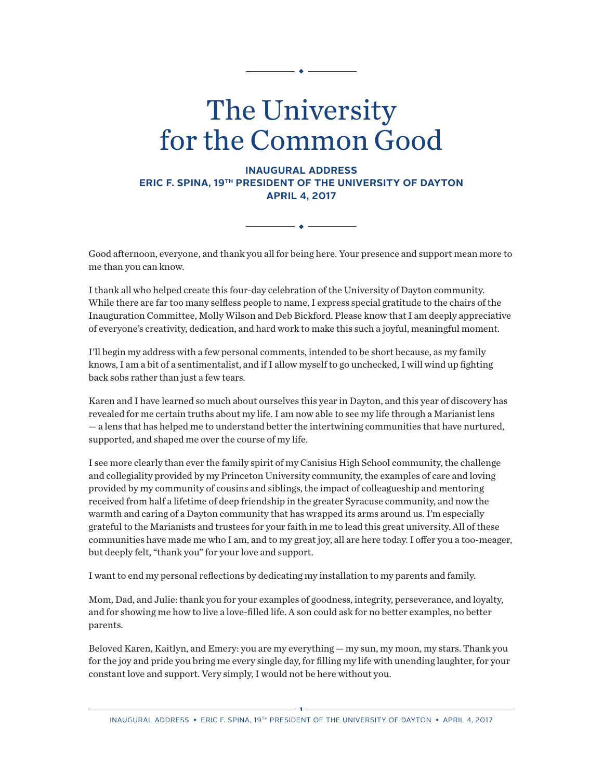# The University for the Common Good

**INAUGURAL ADDRESS ERIC F. SPINA, 19TH PRESIDENT OF THE UNIVERSITY OF DAYTON APRIL 4, 2017**

Good afternoon, everyone, and thank you all for being here. Your presence and support mean more to me than you can know.

 $\bullet -$ 

I thank all who helped create this four-day celebration of the University of Dayton community. While there are far too many selfless people to name, I express special gratitude to the chairs of the Inauguration Committee, Molly Wilson and Deb Bickford. Please know that I am deeply appreciative of everyone's creativity, dedication, and hard work to make this such a joyful, meaningful moment.

I'll begin my address with a few personal comments, intended to be short because, as my family knows, I am a bit of a sentimentalist, and if I allow myself to go unchecked, I will wind up fighting back sobs rather than just a few tears.

Karen and I have learned so much about ourselves this year in Dayton, and this year of discovery has revealed for me certain truths about my life. I am now able to see my life through a Marianist lens — a lens that has helped me to understand better the intertwining communities that have nurtured, supported, and shaped me over the course of my life.

I see more clearly than ever the family spirit of my Canisius High School community, the challenge and collegiality provided by my Princeton University community, the examples of care and loving provided by my community of cousins and siblings, the impact of colleagueship and mentoring received from half a lifetime of deep friendship in the greater Syracuse community, and now the warmth and caring of a Dayton community that has wrapped its arms around us. I'm especially grateful to the Marianists and trustees for your faith in me to lead this great university. All of these communities have made me who I am, and to my great joy, all are here today. I offer you a too-meager, but deeply felt, "thank you" for your love and support.

I want to end my personal reflections by dedicating my installation to my parents and family.

Mom, Dad, and Julie: thank you for your examples of goodness, integrity, perseverance, and loyalty, and for showing me how to live a love-filled life. A son could ask for no better examples, no better parents.

Beloved Karen, Kaitlyn, and Emery: you are my everything — my sun, my moon, my stars. Thank you for the joy and pride you bring me every single day, for filling my life with unending laughter, for your constant love and support. Very simply, I would not be here without you.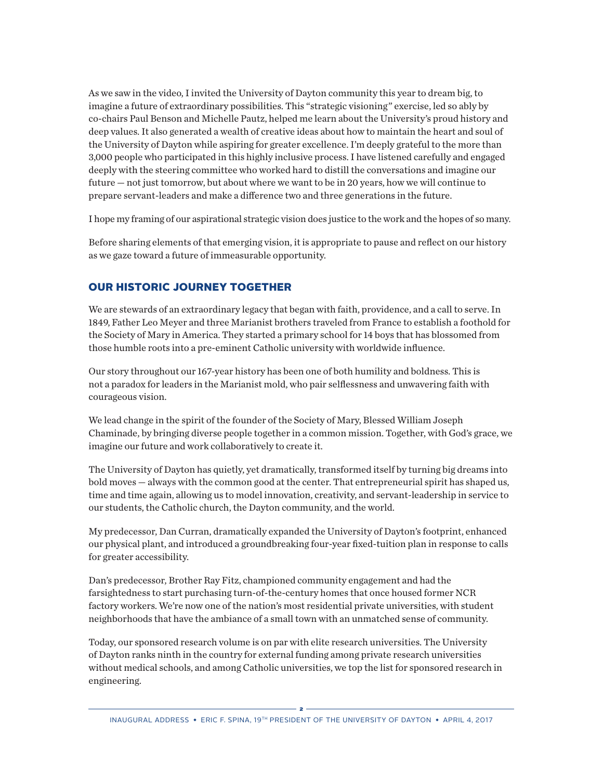As we saw in the video, I invited the University of Dayton community this year to dream big, to imagine a future of extraordinary possibilities. This "strategic visioning" exercise, led so ably by co-chairs Paul Benson and Michelle Pautz, helped me learn about the University's proud history and deep values. It also generated a wealth of creative ideas about how to maintain the heart and soul of the University of Dayton while aspiring for greater excellence. I'm deeply grateful to the more than 3,000 people who participated in this highly inclusive process. I have listened carefully and engaged deeply with the steering committee who worked hard to distill the conversations and imagine our future — not just tomorrow, but about where we want to be in 20 years, how we will continue to prepare servant-leaders and make a difference two and three generations in the future.

I hope my framing of our aspirational strategic vision does justice to the work and the hopes of so many.

Before sharing elements of that emerging vision, it is appropriate to pause and reflect on our history as we gaze toward a future of immeasurable opportunity.

# OUR HISTORIC JOURNEY TOGETHER

We are stewards of an extraordinary legacy that began with faith, providence, and a call to serve. In 1849, Father Leo Meyer and three Marianist brothers traveled from France to establish a foothold for the Society of Mary in America. They started a primary school for 14 boys that has blossomed from those humble roots into a pre-eminent Catholic university with worldwide influence.

Our story throughout our 167-year history has been one of both humility and boldness. This is not a paradox for leaders in the Marianist mold, who pair selflessness and unwavering faith with courageous vision.

We lead change in the spirit of the founder of the Society of Mary, Blessed William Joseph Chaminade, by bringing diverse people together in a common mission. Together, with God's grace, we imagine our future and work collaboratively to create it.

The University of Dayton has quietly, yet dramatically, transformed itself by turning big dreams into bold moves — always with the common good at the center. That entrepreneurial spirit has shaped us, time and time again, allowing us to model innovation, creativity, and servant-leadership in service to our students, the Catholic church, the Dayton community, and the world.

My predecessor, Dan Curran, dramatically expanded the University of Dayton's footprint, enhanced our physical plant, and introduced a groundbreaking four-year fixed-tuition plan in response to calls for greater accessibility.

Dan's predecessor, Brother Ray Fitz, championed community engagement and had the farsightedness to start purchasing turn-of-the-century homes that once housed former NCR factory workers. We're now one of the nation's most residential private universities, with student neighborhoods that have the ambiance of a small town with an unmatched sense of community.

Today, our sponsored research volume is on par with elite research universities. The University of Dayton ranks ninth in the country for external funding among private research universities without medical schools, and among Catholic universities, we top the list for sponsored research in engineering.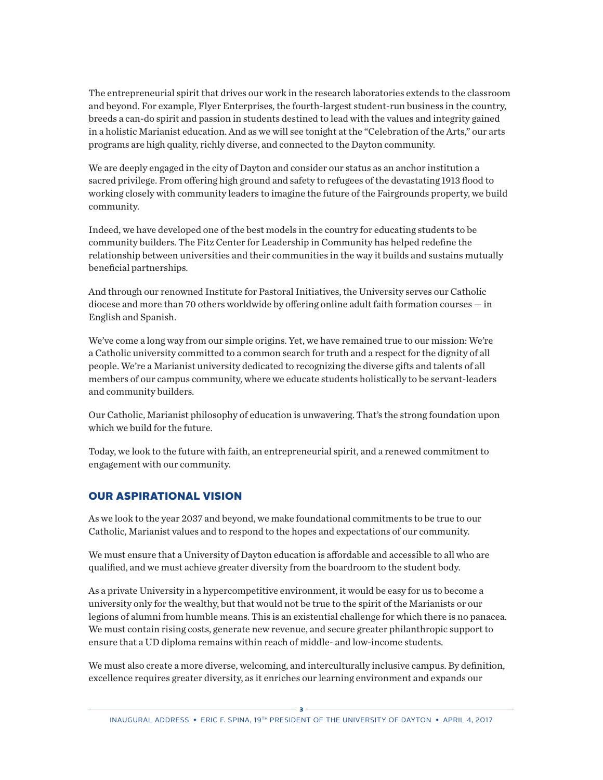The entrepreneurial spirit that drives our work in the research laboratories extends to the classroom and beyond. For example, Flyer Enterprises, the fourth-largest student-run business in the country, breeds a can-do spirit and passion in students destined to lead with the values and integrity gained in a holistic Marianist education. And as we will see tonight at the "Celebration of the Arts," our arts programs are high quality, richly diverse, and connected to the Dayton community.

We are deeply engaged in the city of Dayton and consider our status as an anchor institution a sacred privilege. From offering high ground and safety to refugees of the devastating 1913 flood to working closely with community leaders to imagine the future of the Fairgrounds property, we build community.

Indeed, we have developed one of the best models in the country for educating students to be community builders. The Fitz Center for Leadership in Community has helped redefine the relationship between universities and their communities in the way it builds and sustains mutually beneficial partnerships.

And through our renowned Institute for Pastoral Initiatives, the University serves our Catholic diocese and more than 70 others worldwide by offering online adult faith formation courses — in English and Spanish.

We've come a long way from our simple origins. Yet, we have remained true to our mission: We're a Catholic university committed to a common search for truth and a respect for the dignity of all people. We're a Marianist university dedicated to recognizing the diverse gifts and talents of all members of our campus community, where we educate students holistically to be servant-leaders and community builders.

Our Catholic, Marianist philosophy of education is unwavering. That's the strong foundation upon which we build for the future.

Today, we look to the future with faith, an entrepreneurial spirit, and a renewed commitment to engagement with our community.

## OUR ASPIRATIONAL VISION

As we look to the year 2037 and beyond, we make foundational commitments to be true to our Catholic, Marianist values and to respond to the hopes and expectations of our community.

We must ensure that a University of Dayton education is affordable and accessible to all who are qualified, and we must achieve greater diversity from the boardroom to the student body.

As a private University in a hypercompetitive environment, it would be easy for us to become a university only for the wealthy, but that would not be true to the spirit of the Marianists or our legions of alumni from humble means. This is an existential challenge for which there is no panacea. We must contain rising costs, generate new revenue, and secure greater philanthropic support to ensure that a UD diploma remains within reach of middle- and low-income students.

We must also create a more diverse, welcoming, and interculturally inclusive campus. By definition, excellence requires greater diversity, as it enriches our learning environment and expands our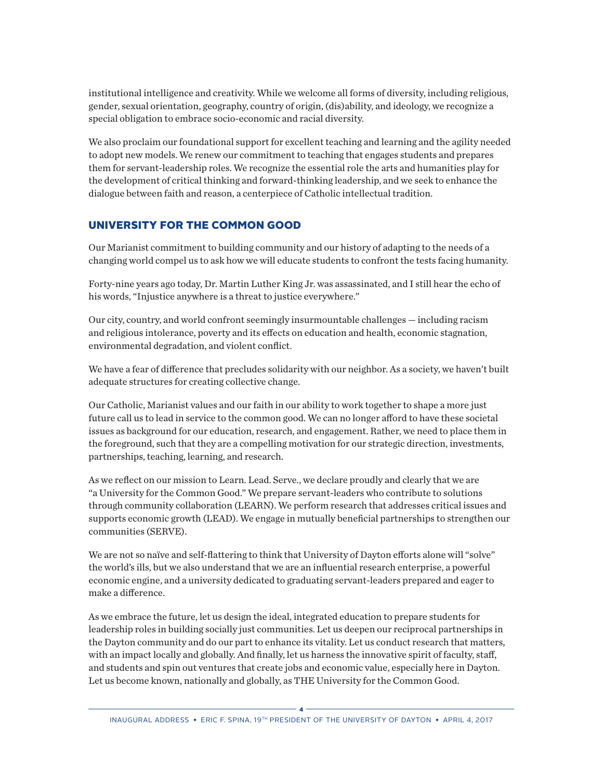institutional intelligence and creativity. While we welcome all forms of diversity, including religious, gender, sexual orientation, geography, country of origin, (dis)ability, and ideology, we recognize a special obligation to embrace socio-economic and racial diversity.

We also proclaim our foundational support for excellent teaching and learning and the agility needed to adopt new models. We renew our commitment to teaching that engages students and prepares them for servant-leadership roles. We recognize the essential role the arts and humanities play for the development of critical thinking and forward-thinking leadership, and we seek to enhance the dialogue between faith and reason, a centerpiece of Catholic intellectual tradition.

## UNIVERSITY FOR THE COMMON GOOD

Our Marianist commitment to building community and our history of adapting to the needs of a changing world compel us to ask how we will educate students to confront the tests facing humanity.

Forty-nine years ago today, Dr. Martin Luther King Jr. was assassinated, and I still hear the echo of his words, "Injustice anywhere is a threat to justice everywhere."

Our city, country, and world confront seemingly insurmountable challenges — including racism and religious intolerance, poverty and its effects on education and health, economic stagnation, environmental degradation, and violent conflict.

We have a fear of difference that precludes solidarity with our neighbor. As a society, we haven't built adequate structures for creating collective change.

Our Catholic, Marianist values and our faith in our ability to work together to shape a more just future call us to lead in service to the common good. We can no longer afford to have these societal issues as background for our education, research, and engagement. Rather, we need to place them in the foreground, such that they are a compelling motivation for our strategic direction, investments, partnerships, teaching, learning, and research.

As we reflect on our mission to Learn. Lead. Serve., we declare proudly and clearly that we are "a University for the Common Good." We prepare servant-leaders who contribute to solutions through community collaboration (LEARN). We perform research that addresses critical issues and supports economic growth (LEAD). We engage in mutually beneficial partnerships to strengthen our communities (SERVE).

We are not so naïve and self-flattering to think that University of Dayton efforts alone will "solve" the world's ills, but we also understand that we are an influential research enterprise, a powerful economic engine, and a university dedicated to graduating servant-leaders prepared and eager to make a difference.

As we embrace the future, let us design the ideal, integrated education to prepare students for leadership roles in building socially just communities. Let us deepen our reciprocal partnerships in the Dayton community and do our part to enhance its vitality. Let us conduct research that matters, with an impact locally and globally. And finally, let us harness the innovative spirit of faculty, staff, and students and spin out ventures that create jobs and economic value, especially here in Dayton. Let us become known, nationally and globally, as THE University for the Common Good.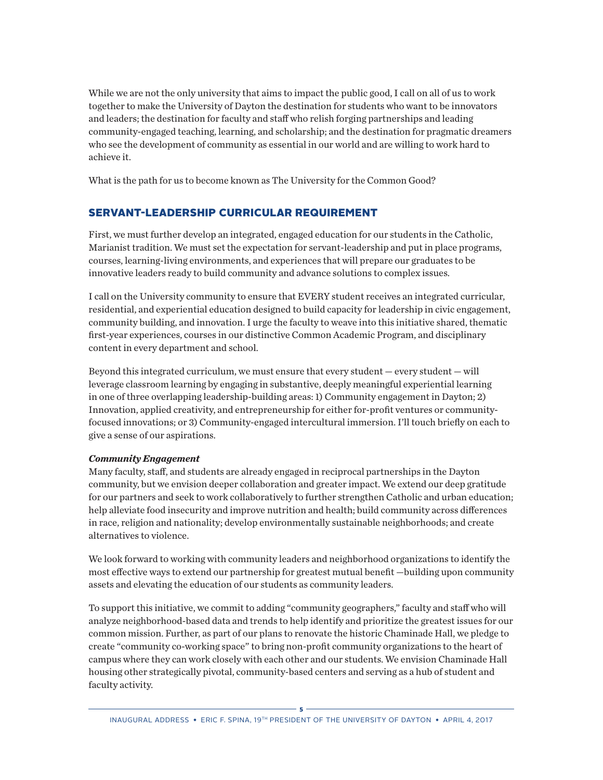While we are not the only university that aims to impact the public good, I call on all of us to work together to make the University of Dayton the destination for students who want to be innovators and leaders; the destination for faculty and staff who relish forging partnerships and leading community-engaged teaching, learning, and scholarship; and the destination for pragmatic dreamers who see the development of community as essential in our world and are willing to work hard to achieve it.

What is the path for us to become known as The University for the Common Good?

## SERVANT-LEADERSHIP CURRICULAR REQUIREMENT

First, we must further develop an integrated, engaged education for our students in the Catholic, Marianist tradition. We must set the expectation for servant-leadership and put in place programs, courses, learning-living environments, and experiences that will prepare our graduates to be innovative leaders ready to build community and advance solutions to complex issues.

I call on the University community to ensure that EVERY student receives an integrated curricular, residential, and experiential education designed to build capacity for leadership in civic engagement, community building, and innovation. I urge the faculty to weave into this initiative shared, thematic first-year experiences, courses in our distinctive Common Academic Program, and disciplinary content in every department and school.

Beyond this integrated curriculum, we must ensure that every student — every student — will leverage classroom learning by engaging in substantive, deeply meaningful experiential learning in one of three overlapping leadership-building areas: 1) Community engagement in Dayton; 2) Innovation, applied creativity, and entrepreneurship for either for-profit ventures or communityfocused innovations; or 3) Community-engaged intercultural immersion. I'll touch briefly on each to give a sense of our aspirations.

#### *Community Engagement*

Many faculty, staff, and students are already engaged in reciprocal partnerships in the Dayton community, but we envision deeper collaboration and greater impact. We extend our deep gratitude for our partners and seek to work collaboratively to further strengthen Catholic and urban education; help alleviate food insecurity and improve nutrition and health; build community across differences in race, religion and nationality; develop environmentally sustainable neighborhoods; and create alternatives to violence.

We look forward to working with community leaders and neighborhood organizations to identify the most effective ways to extend our partnership for greatest mutual benefit —building upon community assets and elevating the education of our students as community leaders.

To support this initiative, we commit to adding "community geographers," faculty and staff who will analyze neighborhood-based data and trends to help identify and prioritize the greatest issues for our common mission. Further, as part of our plans to renovate the historic Chaminade Hall, we pledge to create "community co-working space" to bring non-profit community organizations to the heart of campus where they can work closely with each other and our students. We envision Chaminade Hall housing other strategically pivotal, community-based centers and serving as a hub of student and faculty activity.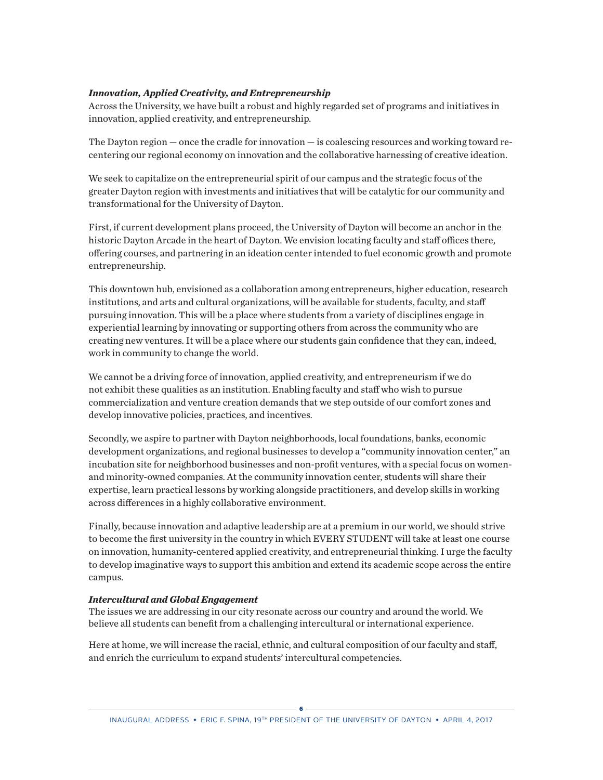#### *Innovation, Applied Creativity, and Entrepreneurship*

Across the University, we have built a robust and highly regarded set of programs and initiatives in innovation, applied creativity, and entrepreneurship.

The Dayton region — once the cradle for innovation — is coalescing resources and working toward recentering our regional economy on innovation and the collaborative harnessing of creative ideation.

We seek to capitalize on the entrepreneurial spirit of our campus and the strategic focus of the greater Dayton region with investments and initiatives that will be catalytic for our community and transformational for the University of Dayton.

First, if current development plans proceed, the University of Dayton will become an anchor in the historic Dayton Arcade in the heart of Dayton. We envision locating faculty and staff offices there, offering courses, and partnering in an ideation center intended to fuel economic growth and promote entrepreneurship.

This downtown hub, envisioned as a collaboration among entrepreneurs, higher education, research institutions, and arts and cultural organizations, will be available for students, faculty, and staff pursuing innovation. This will be a place where students from a variety of disciplines engage in experiential learning by innovating or supporting others from across the community who are creating new ventures. It will be a place where our students gain confidence that they can, indeed, work in community to change the world.

We cannot be a driving force of innovation, applied creativity, and entrepreneurism if we do not exhibit these qualities as an institution. Enabling faculty and staff who wish to pursue commercialization and venture creation demands that we step outside of our comfort zones and develop innovative policies, practices, and incentives.

Secondly, we aspire to partner with Dayton neighborhoods, local foundations, banks, economic development organizations, and regional businesses to develop a "community innovation center," an incubation site for neighborhood businesses and non-profit ventures, with a special focus on womenand minority-owned companies. At the community innovation center, students will share their expertise, learn practical lessons by working alongside practitioners, and develop skills in working across differences in a highly collaborative environment.

Finally, because innovation and adaptive leadership are at a premium in our world, we should strive to become the first university in the country in which EVERY STUDENT will take at least one course on innovation, humanity-centered applied creativity, and entrepreneurial thinking. I urge the faculty to develop imaginative ways to support this ambition and extend its academic scope across the entire campus.

#### *Intercultural and Global Engagement*

The issues we are addressing in our city resonate across our country and around the world. We believe all students can benefit from a challenging intercultural or international experience.

Here at home, we will increase the racial, ethnic, and cultural composition of our faculty and staff, and enrich the curriculum to expand students' intercultural competencies.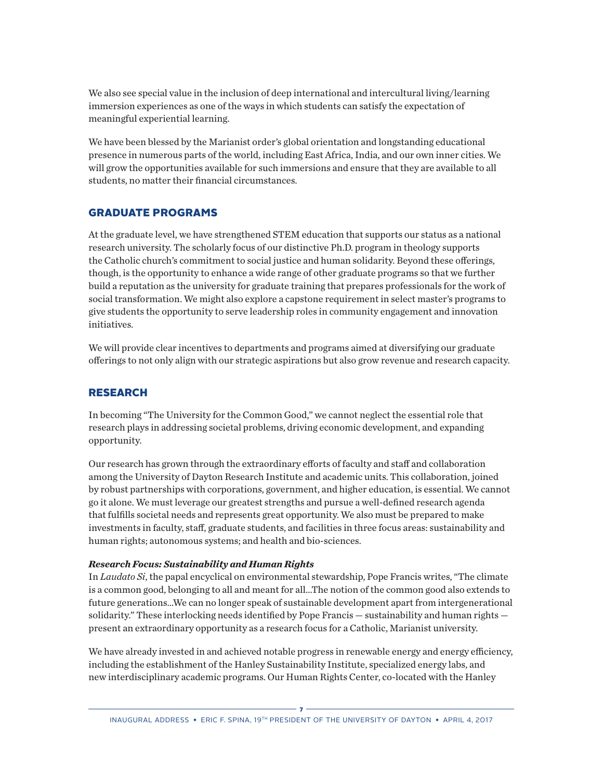We also see special value in the inclusion of deep international and intercultural living/learning immersion experiences as one of the ways in which students can satisfy the expectation of meaningful experiential learning.

We have been blessed by the Marianist order's global orientation and longstanding educational presence in numerous parts of the world, including East Africa, India, and our own inner cities. We will grow the opportunities available for such immersions and ensure that they are available to all students, no matter their financial circumstances.

#### GRADUATE PROGRAMS

At the graduate level, we have strengthened STEM education that supports our status as a national research university. The scholarly focus of our distinctive Ph.D. program in theology supports the Catholic church's commitment to social justice and human solidarity. Beyond these offerings, though, is the opportunity to enhance a wide range of other graduate programs so that we further build a reputation as the university for graduate training that prepares professionals for the work of social transformation. We might also explore a capstone requirement in select master's programs to give students the opportunity to serve leadership roles in community engagement and innovation initiatives.

We will provide clear incentives to departments and programs aimed at diversifying our graduate offerings to not only align with our strategic aspirations but also grow revenue and research capacity.

## RESEARCH

In becoming "The University for the Common Good," we cannot neglect the essential role that research plays in addressing societal problems, driving economic development, and expanding opportunity.

Our research has grown through the extraordinary efforts of faculty and staff and collaboration among the University of Dayton Research Institute and academic units. This collaboration, joined by robust partnerships with corporations, government, and higher education, is essential. We cannot go it alone. We must leverage our greatest strengths and pursue a well-defined research agenda that fulfills societal needs and represents great opportunity. We also must be prepared to make investments in faculty, staff, graduate students, and facilities in three focus areas: sustainability and human rights; autonomous systems; and health and bio-sciences.

#### *Research Focus: Sustainability and Human Rights*

In *Laudato Si*, the papal encyclical on environmental stewardship, Pope Francis writes, "The climate is a common good, belonging to all and meant for all…The notion of the common good also extends to future generations…We can no longer speak of sustainable development apart from intergenerational solidarity." These interlocking needs identified by Pope Francis — sustainability and human rights present an extraordinary opportunity as a research focus for a Catholic, Marianist university.

We have already invested in and achieved notable progress in renewable energy and energy efficiency, including the establishment of the Hanley Sustainability Institute, specialized energy labs, and new interdisciplinary academic programs. Our Human Rights Center, co-located with the Hanley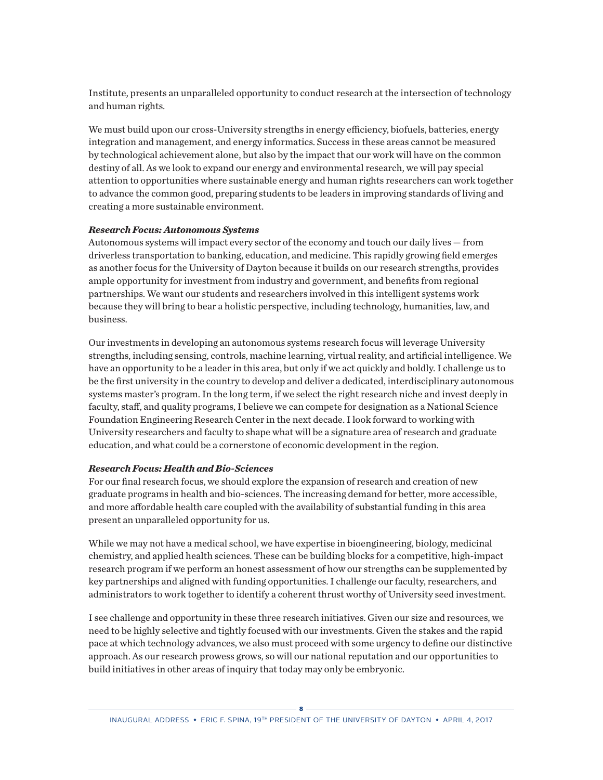Institute, presents an unparalleled opportunity to conduct research at the intersection of technology and human rights.

We must build upon our cross-University strengths in energy efficiency, biofuels, batteries, energy integration and management, and energy informatics. Success in these areas cannot be measured by technological achievement alone, but also by the impact that our work will have on the common destiny of all. As we look to expand our energy and environmental research, we will pay special attention to opportunities where sustainable energy and human rights researchers can work together to advance the common good, preparing students to be leaders in improving standards of living and creating a more sustainable environment.

#### *Research Focus: Autonomous Systems*

Autonomous systems will impact every sector of the economy and touch our daily lives — from driverless transportation to banking, education, and medicine. This rapidly growing field emerges as another focus for the University of Dayton because it builds on our research strengths, provides ample opportunity for investment from industry and government, and benefits from regional partnerships. We want our students and researchers involved in this intelligent systems work because they will bring to bear a holistic perspective, including technology, humanities, law, and business.

Our investments in developing an autonomous systems research focus will leverage University strengths, including sensing, controls, machine learning, virtual reality, and artificial intelligence. We have an opportunity to be a leader in this area, but only if we act quickly and boldly. I challenge us to be the first university in the country to develop and deliver a dedicated, interdisciplinary autonomous systems master's program. In the long term, if we select the right research niche and invest deeply in faculty, staff, and quality programs, I believe we can compete for designation as a National Science Foundation Engineering Research Center in the next decade. I look forward to working with University researchers and faculty to shape what will be a signature area of research and graduate education, and what could be a cornerstone of economic development in the region.

#### *Research Focus: Health and Bio-Sciences*

For our final research focus, we should explore the expansion of research and creation of new graduate programs in health and bio-sciences. The increasing demand for better, more accessible, and more affordable health care coupled with the availability of substantial funding in this area present an unparalleled opportunity for us.

While we may not have a medical school, we have expertise in bioengineering, biology, medicinal chemistry, and applied health sciences. These can be building blocks for a competitive, high-impact research program if we perform an honest assessment of how our strengths can be supplemented by key partnerships and aligned with funding opportunities. I challenge our faculty, researchers, and administrators to work together to identify a coherent thrust worthy of University seed investment.

I see challenge and opportunity in these three research initiatives. Given our size and resources, we need to be highly selective and tightly focused with our investments. Given the stakes and the rapid pace at which technology advances, we also must proceed with some urgency to define our distinctive approach. As our research prowess grows, so will our national reputation and our opportunities to build initiatives in other areas of inquiry that today may only be embryonic.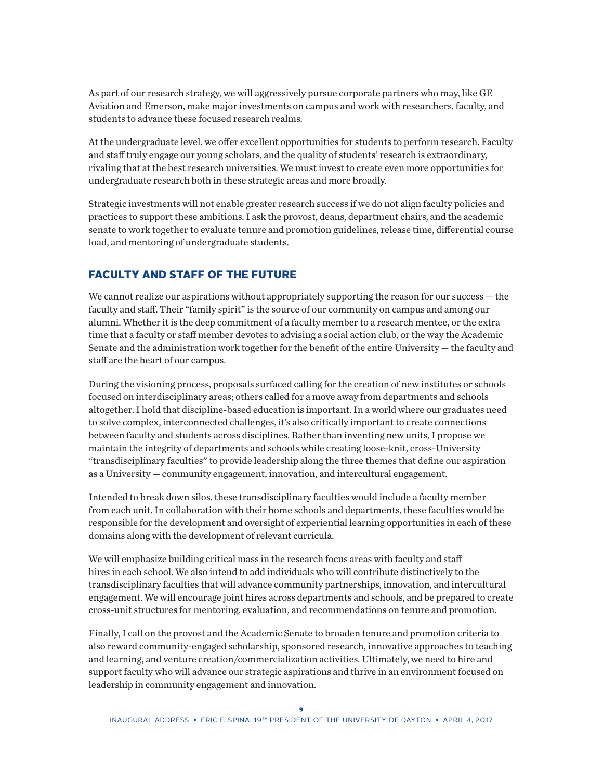As part of our research strategy, we will aggressively pursue corporate partners who may, like GE Aviation and Emerson, make major investments on campus and work with researchers, faculty, and students to advance these focused research realms.

At the undergraduate level, we offer excellent opportunities for students to perform research. Faculty and staff truly engage our young scholars, and the quality of students' research is extraordinary, rivaling that at the best research universities. We must invest to create even more opportunities for undergraduate research both in these strategic areas and more broadly.

Strategic investments will not enable greater research success if we do not align faculty policies and practices to support these ambitions. I ask the provost, deans, department chairs, and the academic senate to work together to evaluate tenure and promotion guidelines, release time, differential course load, and mentoring of undergraduate students.

#### FACULTY AND STAFF OF THE FUTURE

We cannot realize our aspirations without appropriately supporting the reason for our success – the faculty and staff. Their "family spirit" is the source of our community on campus and among our alumni. Whether it is the deep commitment of a faculty member to a research mentee, or the extra time that a faculty or staff member devotes to advising a social action club, or the way the Academic Senate and the administration work together for the benefit of the entire University — the faculty and staff are the heart of our campus.

During the visioning process, proposals surfaced calling for the creation of new institutes or schools focused on interdisciplinary areas; others called for a move away from departments and schools altogether. I hold that discipline-based education is important. In a world where our graduates need to solve complex, interconnected challenges, it's also critically important to create connections between faculty and students across disciplines. Rather than inventing new units, I propose we maintain the integrity of departments and schools while creating loose-knit, cross-University "transdisciplinary faculties" to provide leadership along the three themes that define our aspiration as a University — community engagement, innovation, and intercultural engagement.

Intended to break down silos, these transdisciplinary faculties would include a faculty member from each unit. In collaboration with their home schools and departments, these faculties would be responsible for the development and oversight of experiential learning opportunities in each of these domains along with the development of relevant curricula.

We will emphasize building critical mass in the research focus areas with faculty and staff hires in each school. We also intend to add individuals who will contribute distinctively to the transdisciplinary faculties that will advance community partnerships, innovation, and intercultural engagement. We will encourage joint hires across departments and schools, and be prepared to create cross-unit structures for mentoring, evaluation, and recommendations on tenure and promotion.

Finally, I call on the provost and the Academic Senate to broaden tenure and promotion criteria to also reward community-engaged scholarship, sponsored research, innovative approaches to teaching and learning, and venture creation/commercialization activities. Ultimately, we need to hire and support faculty who will advance our strategic aspirations and thrive in an environment focused on leadership in community engagement and innovation.